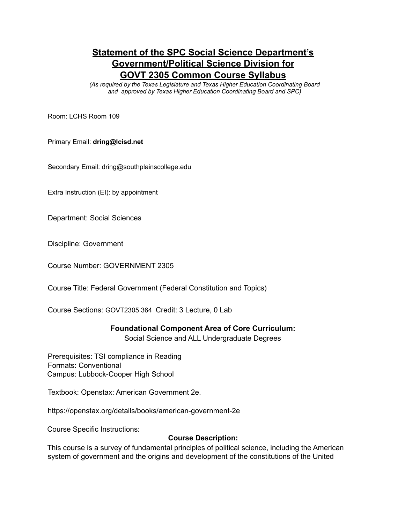# **Statement of the SPC Social Science Department's Government/Political Science Division for GOVT 2305 Common Course Syllabus**

*(As required by the Texas Legislature and Texas Higher Education Coordinating Board and approved by Texas Higher Education Coordinating Board and SPC)*

Room: LCHS Room 109

Primary Email: **dring@lcisd.net**

Secondary Email: dring@southplainscollege.edu

Extra Instruction (EI): by appointment

Department: Social Sciences

Discipline: Government

Course Number: GOVERNMENT 2305

Course Title: Federal Government (Federal Constitution and Topics)

Course Sections: GOVT2305.364 Credit: 3 Lecture, 0 Lab

#### **Foundational Component Area of Core Curriculum:**

Social Science and ALL Undergraduate Degrees

Prerequisites: TSI compliance in Reading Formats: Conventional Campus: Lubbock-Cooper High School

Textbook: Openstax: American Government 2e.

https://openstax.org/details/books/american-government-2e

Course Specific Instructions:

#### **Course Description:**

This course is a survey of fundamental principles of political science, including the American system of government and the origins and development of the constitutions of the United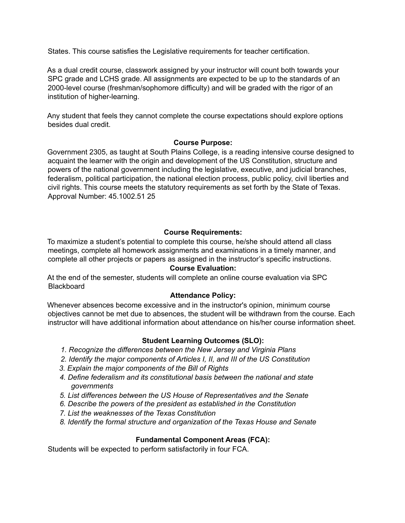States. This course satisfies the Legislative requirements for teacher certification.

As a dual credit course, classwork assigned by your instructor will count both towards your SPC grade and LCHS grade. All assignments are expected to be up to the standards of an 2000-level course (freshman/sophomore difficulty) and will be graded with the rigor of an institution of higher-learning.

Any student that feels they cannot complete the course expectations should explore options besides dual credit.

# **Course Purpose:**

Government 2305, as taught at South Plains College, is a reading intensive course designed to acquaint the learner with the origin and development of the US Constitution, structure and powers of the national government including the legislative, executive, and judicial branches, federalism, political participation, the national election process, public policy, civil liberties and civil rights. This course meets the statutory requirements as set forth by the State of Texas. Approval Number: 45.1002.51 25

# **Course Requirements:**

To maximize a student's potential to complete this course, he/she should attend all class meetings, complete all homework assignments and examinations in a timely manner, and complete all other projects or papers as assigned in the instructor's specific instructions.

### **Course Evaluation:**

At the end of the semester, students will complete an online course evaluation via SPC **Blackboard** 

### **Attendance Policy:**

Whenever absences become excessive and in the instructor's opinion, minimum course objectives cannot be met due to absences, the student will be withdrawn from the course. Each instructor will have additional information about attendance on his/her course information sheet.

### **Student Learning Outcomes (SLO):**

- *1. Recognize the differences between the New Jersey and Virginia Plans*
- *2. Identify the major components of Articles I, II, and III of the US Constitution*
- *3. Explain the major components of the Bill of Rights*
- *4. Define federalism and its constitutional basis between the national and state governments*
- *5. List differences between the US House of Representatives and the Senate*
- *6. Describe the powers of the president as established in the Constitution*
- *7. List the weaknesses of the Texas Constitution*
- *8. Identify the formal structure and organization of the Texas House and Senate*

# **Fundamental Component Areas (FCA):**

Students will be expected to perform satisfactorily in four FCA.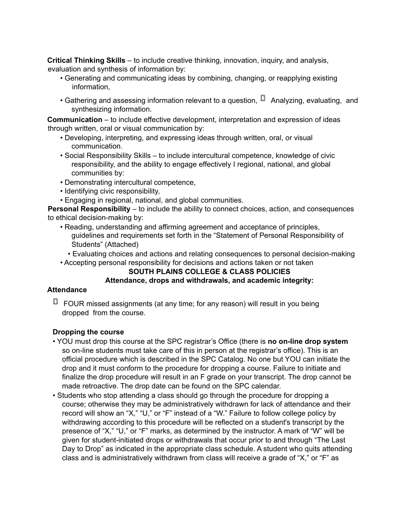**Critical Thinking Skills** – to include creative thinking, innovation, inquiry, and analysis, evaluation and synthesis of information by:

- Generating and communicating ideas by combining, changing, or reapplying existing information,
- Gathering and assessing information relevant to a question,  $\Box$  Analyzing, evaluating, and synthesizing information.

**Communication** – to include effective development, interpretation and expression of ideas through written, oral or visual communication by:

- Developing, interpreting, and expressing ideas through written, oral, or visual communication.
- Social Responsibility Skills to include intercultural competence, knowledge of civic responsibility, and the ability to engage effectively I regional, national, and global communities by:
- Demonstrating intercultural competence,
- Identifying civic responsibility,
- Engaging in regional, national, and global communities.

**Personal Responsibility** – to include the ability to connect choices, action, and consequences to ethical decision-making by:

- Reading, understanding and affirming agreement and acceptance of principles, guidelines and requirements set forth in the "Statement of Personal Responsibility of Students" (Attached)
	- Evaluating choices and actions and relating consequences to personal decision-making
- Accepting personal responsibility for decisions and actions taken or not taken

# **SOUTH PLAINS COLLEGE & CLASS POLICIES**

# **Attendance, drops and withdrawals, and academic integrity:**

# **Attendance**

 $\Box$  FOUR missed assignments (at any time; for any reason) will result in you being dropped from the course.

# **Dropping the course**

- YOU must drop this course at the SPC registrar's Office (there is **no on-line drop system** so on-line students must take care of this in person at the registrar's office). This is an official procedure which is described in the SPC Catalog. No one but YOU can initiate the drop and it must conform to the procedure for dropping a course. Failure to initiate and finalize the drop procedure will result in an F grade on your transcript. The drop cannot be made retroactive. The drop date can be found on the SPC calendar.
- Students who stop attending a class should go through the procedure for dropping a course; otherwise they may be administratively withdrawn for lack of attendance and their record will show an "X," "U," or "F" instead of a "W." Failure to follow college policy by withdrawing according to this procedure will be reflected on a student's transcript by the presence of "X," "U," or "F" marks, as determined by the instructor. A mark of "W" will be given for student-initiated drops or withdrawals that occur prior to and through "The Last Day to Drop" as indicated in the appropriate class schedule. A student who quits attending class and is administratively withdrawn from class will receive a grade of "X," or "F" as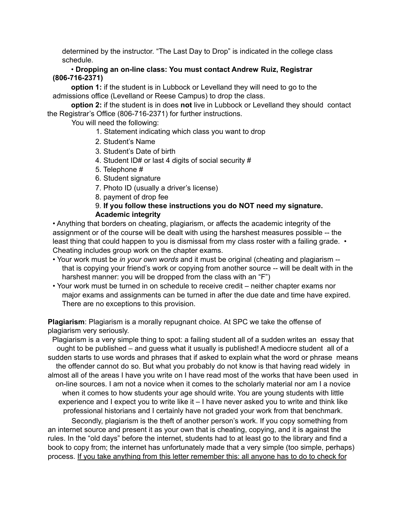determined by the instructor. "The Last Day to Drop" is indicated in the college class schedule.

• **Dropping an on-line class: You must contact Andrew Ruiz, Registrar (806-716-2371)**

**option 1:** if the student is in Lubbock or Levelland they will need to go to the admissions office (Levelland or Reese Campus) to drop the class.

**option 2:** if the student is in does **not** live in Lubbock or Levelland they should contact the Registrar's Office (806-716-2371) for further instructions.

You will need the following:

- 1. Statement indicating which class you want to drop
- 2. Student's Name
- 3. Student's Date of birth
- 4. Student ID# or last 4 digits of social security #
- 5. Telephone #
- 6. Student signature
- 7. Photo ID (usually a driver's license)
- 8. payment of drop fee

## 9. **If you follow these instructions you do NOT need my signature. Academic integrity**

• Anything that borders on cheating, plagiarism, or affects the academic integrity of the assignment or of the course will be dealt with using the harshest measures possible -- the least thing that could happen to you is dismissal from my class roster with a failing grade. • Cheating includes group work on the chapter exams.

- Your work must be *in your own words* and it must be original (cheating and plagiarism that is copying your friend's work or copying from another source -- will be dealt with in the harshest manner: you will be dropped from the class with an "F")
- Your work must be turned in on schedule to receive credit neither chapter exams nor major exams and assignments can be turned in after the due date and time have expired. There are no exceptions to this provision.

**Plagiarism**: Plagiarism is a morally repugnant choice. At SPC we take the offense of plagiarism very seriously.

Plagiarism is a very simple thing to spot: a failing student all of a sudden writes an essay that ought to be published – and guess what it usually is published! A mediocre student all of a sudden starts to use words and phrases that if asked to explain what the word or phrase means the offender cannot do so. But what you probably do not know is that having read widely in almost all of the areas I have you write on I have read most of the works that have been used in on-line sources. I am not a novice when it comes to the scholarly material nor am I a novice when it comes to how students your age should write. You are young students with little experience and I expect you to write like it – I have never asked you to write and think like professional historians and I certainly have not graded your work from that benchmark.

Secondly, plagiarism is the theft of another person's work. If you copy something from an internet source and present it as your own that is cheating, copying, and it is against the rules. In the "old days" before the internet, students had to at least go to the library and find a book to copy from; the internet has unfortunately made that a very simple (too simple, perhaps) process. If you take anything from this letter remember this: all anyone has to do to check for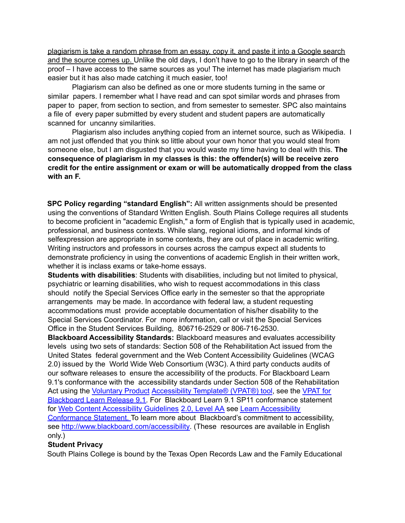plagiarism is take a random phrase from an essay, copy it, and paste it into a Google search and the source comes up. Unlike the old days, I don't have to go to the library in search of the proof – I have access to the same sources as you! The internet has made plagiarism much easier but it has also made catching it much easier, too!

Plagiarism can also be defined as one or more students turning in the same or similar papers. I remember what I have read and can spot similar words and phrases from paper to paper, from section to section, and from semester to semester. SPC also maintains a file of every paper submitted by every student and student papers are automatically scanned for uncanny similarities.

Plagiarism also includes anything copied from an internet source, such as Wikipedia. I am not just offended that you think so little about your own honor that you would steal from someone else, but I am disgusted that you would waste my time having to deal with this. **The consequence of plagiarism in my classes is this: the offender(s) will be receive zero credit for the entire assignment or exam or will be automatically dropped from the class with an F.**

**SPC Policy regarding "standard English":** All written assignments should be presented using the conventions of Standard Written English. South Plains College requires all students to become proficient in "academic English," a form of English that is typically used in academic, professional, and business contexts. While slang, regional idioms, and informal kinds of selfexpression are appropriate in some contexts, they are out of place in academic writing. Writing instructors and professors in courses across the campus expect all students to demonstrate proficiency in using the conventions of academic English in their written work, whether it is inclass exams or take-home essays.

**Students with disabilities**: Students with disabilities, including but not limited to physical, psychiatric or learning disabilities, who wish to request accommodations in this class should notify the Special Services Office early in the semester so that the appropriate arrangements may be made. In accordance with federal law, a student requesting accommodations must provide acceptable documentation of his/her disability to the Special Services Coordinator. For more information, call or visit the Special Services Office in the Student Services Building, 806716-2529 or 806-716-2530.

**Blackboard Accessibility Standards:** Blackboard measures and evaluates accessibility levels using two sets of standards: Section 508 of the Rehabilitation Act issued from the United States federal government and the Web Content Accessibility Guidelines (WCAG 2.0) issued by the World Wide Web Consortium (W3C). A third party conducts audits of our software releases to ensure the accessibility of the products. For Blackboard Learn 9.1's conformance with the accessibility standards under Section 508 of the Rehabilitation Act using the Voluntary Product Accessibility Template® (VPAT®) tool, see the VPAT for Blackboard Learn Release 9.1. For Blackboard Learn 9.1 SP11 conformance statement for Web Content Accessibility Guidelines 2.0, Level AA see Learn Accessibility Conformance Statement. To learn more about Blackboard's commitment to accessibility, see http://www.blackboard.com/accessibility. (These resources are available in English only.)

### **Student Privacy**

South Plains College is bound by the Texas Open Records Law and the Family Educational